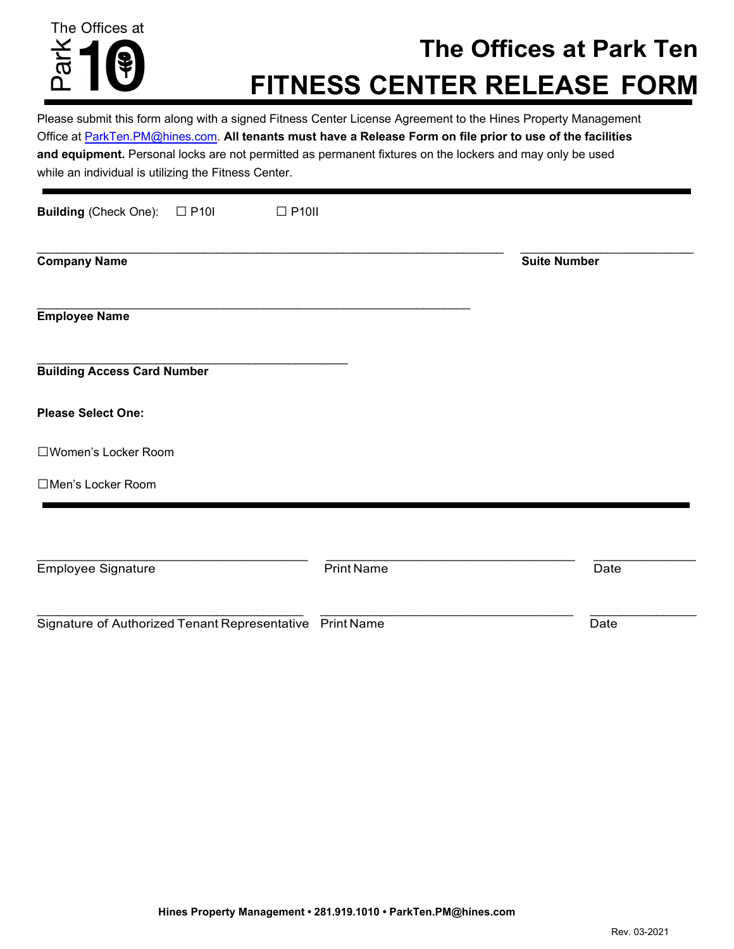

# **The Offices at Park Ten FITNESS CENTER RELEASE FORM**

Please submit this form along with a signed Fitness Center License Agreement to the Hines Property Management Office at ParkTen.PM@hines.com. **All tenants must have a Release Form on file prior to use of the facilities and equipment.** Personal locks are not permitted as permanent fixtures on the lockers and may only be used while an individual is utilizing the Fitness Center.

| <b>Building (Check One):</b><br>$\Box$ P10I<br>$\Box$ P10II |                   |                     |
|-------------------------------------------------------------|-------------------|---------------------|
| <b>Company Name</b>                                         |                   | <b>Suite Number</b> |
| <b>Employee Name</b>                                        |                   |                     |
| <b>Building Access Card Number</b>                          |                   |                     |
| <b>Please Select One:</b>                                   |                   |                     |
| □Women's Locker Room                                        |                   |                     |
| □Men's Locker Room                                          |                   |                     |
|                                                             |                   |                     |
| <b>Employee Signature</b>                                   | <b>Print Name</b> | Date                |
| Signature of Authorized Tenant Representative Print Name    |                   | Date                |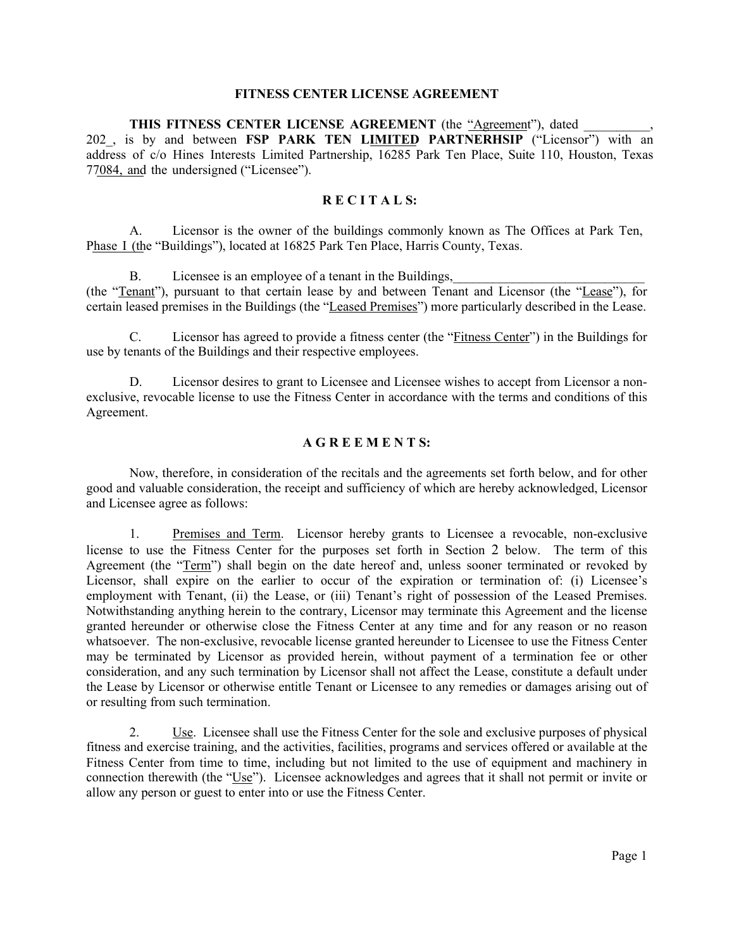#### **FITNESS CENTER LICENSE AGREEMENT**

**THIS FITNESS CENTER LICENSE AGREEMENT** (the "Agreement"), dated 202, is by and between **FSP PARK TEN LIMITED PARTNERHSIP** ("Licensor") with an address of c/o Hines Interests Limited Partnership, 16285 Park Ten Place, Suite 110, Houston, Texas 77084, and the undersigned ("Licensee").

## **R E C I T A L S:**

A. Licensor is the owner of the buildings commonly known as The Offices at Park Ten, Phase I (the "Buildings"), located at 16825 Park Ten Place, Harris County, Texas.

B. Licensee is an employee of a tenant in the Buildings,

(the "Tenant"), pursuant to that certain lease by and between Tenant and Licensor (the "Lease"), for certain leased premises in the Buildings (the "Leased Premises") more particularly described in the Lease.

C. Licensor has agreed to provide a fitness center (the "Fitness Center") in the Buildings for use by tenants of the Buildings and their respective employees.

D. Licensor desires to grant to Licensee and Licensee wishes to accept from Licensor a nonexclusive, revocable license to use the Fitness Center in accordance with the terms and conditions of this Agreement.

#### **A G R E E M E N T S:**

Now, therefore, in consideration of the recitals and the agreements set forth below, and for other good and valuable consideration, the receipt and sufficiency of which are hereby acknowledged, Licensor and Licensee agree as follows:

1. Premises and Term. Licensor hereby grants to Licensee a revocable, non-exclusive license to use the Fitness Center for the purposes set forth in Section [2](#page-1-0) below. The term of this Agreement (the "Term") shall begin on the date hereof and, unless sooner terminated or revoked by Licensor, shall expire on the earlier to occur of the expiration or termination of: (i) Licensee's employment with Tenant, (ii) the Lease, or (iii) Tenant's right of possession of the Leased Premises. Notwithstanding anything herein to the contrary, Licensor may terminate this Agreement and the license granted hereunder or otherwise close the Fitness Center at any time and for any reason or no reason whatsoever. The non-exclusive, revocable license granted hereunder to Licensee to use the Fitness Center may be terminated by Licensor as provided herein, without payment of a termination fee or other consideration, and any such termination by Licensor shall not affect the Lease, constitute a default under the Lease by Licensor or otherwise entitle Tenant or Licensee to any remedies or damages arising out of or resulting from such termination.

<span id="page-1-0"></span>2. Use. Licensee shall use the Fitness Center for the sole and exclusive purposes of physical fitness and exercise training, and the activities, facilities, programs and services offered or available at the Fitness Center from time to time, including but not limited to the use of equipment and machinery in connection therewith (the "Use"). Licensee acknowledges and agrees that it shall not permit or invite or allow any person or guest to enter into or use the Fitness Center.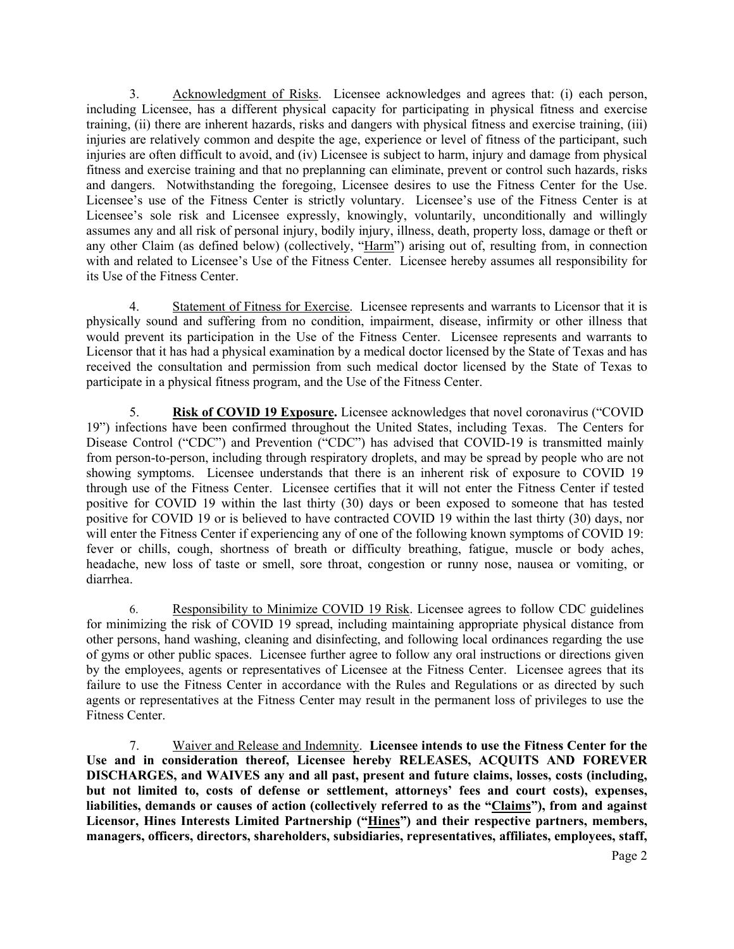3. Acknowledgment of Risks. Licensee acknowledges and agrees that: (i) each person, including Licensee, has a different physical capacity for participating in physical fitness and exercise training, (ii) there are inherent hazards, risks and dangers with physical fitness and exercise training, (iii) injuries are relatively common and despite the age, experience or level of fitness of the participant, such injuries are often difficult to avoid, and (iv) Licensee is subject to harm, injury and damage from physical fitness and exercise training and that no preplanning can eliminate, prevent or control such hazards, risks and dangers. Notwithstanding the foregoing, Licensee desires to use the Fitness Center for the Use. Licensee's use of the Fitness Center is strictly voluntary. Licensee's use of the Fitness Center is at Licensee's sole risk and Licensee expressly, knowingly, voluntarily, unconditionally and willingly assumes any and all risk of personal injury, bodily injury, illness, death, property loss, damage or theft or any other Claim (as defined below) (collectively, "Harm") arising out of, resulting from, in connection with and related to Licensee's Use of the Fitness Center. Licensee hereby assumes all responsibility for its Use of the Fitness Center.

4. Statement of Fitness for Exercise. Licensee represents and warrants to Licensor that it is physically sound and suffering from no condition, impairment, disease, infirmity or other illness that would prevent its participation in the Use of the Fitness Center. Licensee represents and warrants to Licensor that it has had a physical examination by a medical doctor licensed by the State of Texas and has received the consultation and permission from such medical doctor licensed by the State of Texas to participate in a physical fitness program, and the Use of the Fitness Center.

5. **Risk of COVID 19 Exposure.** Licensee acknowledges that novel coronavirus ("COVID 19") infections have been confirmed throughout the United States, including Texas. The Centers for Disease Control ("CDC") and Prevention ("CDC") has advised that COVID-19 is transmitted mainly from person-to-person, including through respiratory droplets, and may be spread by people who are not showing symptoms. Licensee understands that there is an inherent risk of exposure to COVID 19 through use of the Fitness Center. Licensee certifies that it will not enter the Fitness Center if tested positive for COVID 19 within the last thirty (30) days or been exposed to someone that has tested positive for COVID 19 or is believed to have contracted COVID 19 within the last thirty (30) days, nor will enter the Fitness Center if experiencing any of one of the following known symptoms of COVID 19: fever or chills, cough, shortness of breath or difficulty breathing, fatigue, muscle or body aches, headache, new loss of taste or smell, sore throat, congestion or runny nose, nausea or vomiting, or diarrhea.

6. Responsibility to Minimize COVID 19 Risk. Licensee agrees to follow CDC guidelines for minimizing the risk of COVID 19 spread, including maintaining appropriate physical distance from other persons, hand washing, cleaning and disinfecting, and following local ordinances regarding the use of gyms or other public spaces. Licensee further agree to follow any oral instructions or directions given by the employees, agents or representatives of Licensee at the Fitness Center. Licensee agrees that its failure to use the Fitness Center in accordance with the Rules and Regulations or as directed by such agents or representatives at the Fitness Center may result in the permanent loss of privileges to use the Fitness Center.

7. Waiver and Release and Indemnity. **Licensee intends to use the Fitness Center for the Use and in consideration thereof, Licensee hereby RELEASES, ACQUITS AND FOREVER DISCHARGES, and WAIVES any and all past, present and future claims, losses, costs (including, but not limited to, costs of defense or settlement, attorneys' fees and court costs), expenses, liabilities, demands or causes of action (collectively referred to as the "Claims"), from and against Licensor, Hines Interests Limited Partnership ("Hines") and their respective partners, members, managers, officers, directors, shareholders, subsidiaries, representatives, affiliates, employees, staff,**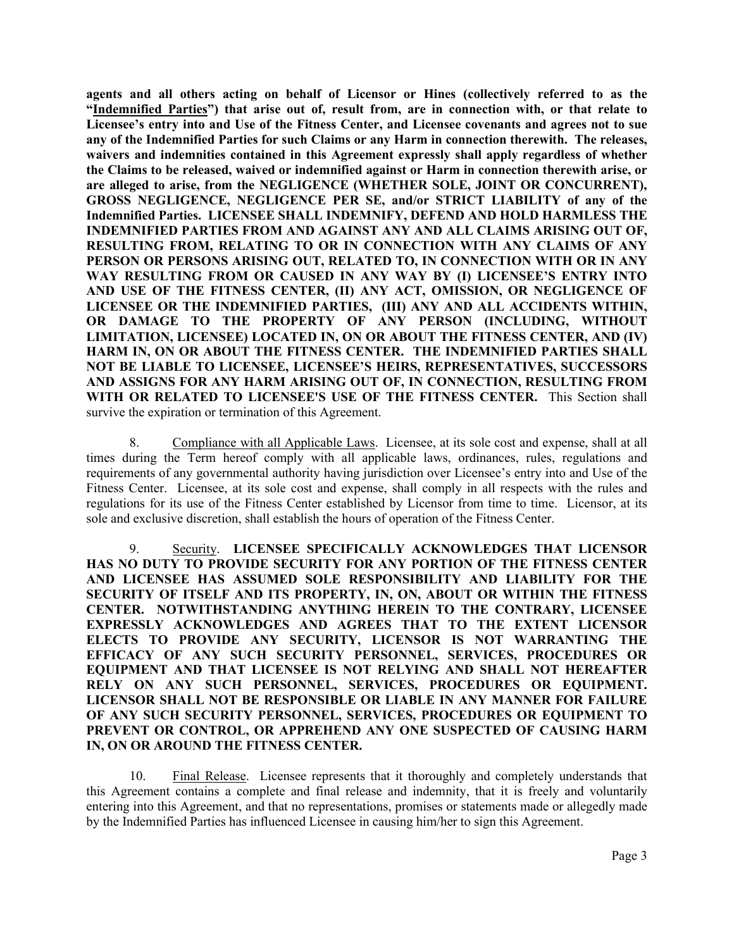**agents and all others acting on behalf of Licensor or Hines (collectively referred to as the "Indemnified Parties") that arise out of, result from, are in connection with, or that relate to Licensee's entry into and Use of the Fitness Center, and Licensee covenants and agrees not to sue any of the Indemnified Parties for such Claims or any Harm in connection therewith. The releases, waivers and indemnities contained in this Agreement expressly shall apply regardless of whether the Claims to be released, waived or indemnified against or Harm in connection therewith arise, or are alleged to arise, from the NEGLIGENCE (WHETHER SOLE, JOINT OR CONCURRENT), GROSS NEGLIGENCE, NEGLIGENCE PER SE, and/or STRICT LIABILITY of any of the Indemnified Parties. LICENSEE SHALL INDEMNIFY, DEFEND AND HOLD HARMLESS THE INDEMNIFIED PARTIES FROM AND AGAINST ANY AND ALL CLAIMS ARISING OUT OF, RESULTING FROM, RELATING TO OR IN CONNECTION WITH ANY CLAIMS OF ANY PERSON OR PERSONS ARISING OUT, RELATED TO, IN CONNECTION WITH OR IN ANY WAY RESULTING FROM OR CAUSED IN ANY WAY BY (I) LICENSEE'S ENTRY INTO AND USE OF THE FITNESS CENTER, (II) ANY ACT, OMISSION, OR NEGLIGENCE OF LICENSEE OR THE INDEMNIFIED PARTIES, (III) ANY AND ALL ACCIDENTS WITHIN, OR DAMAGE TO THE PROPERTY OF ANY PERSON (INCLUDING, WITHOUT LIMITATION, LICENSEE) LOCATED IN, ON OR ABOUT THE FITNESS CENTER, AND (IV) HARM IN, ON OR ABOUT THE FITNESS CENTER. THE INDEMNIFIED PARTIES SHALL NOT BE LIABLE TO LICENSEE, LICENSEE'S HEIRS, REPRESENTATIVES, SUCCESSORS AND ASSIGNS FOR ANY HARM ARISING OUT OF, IN CONNECTION, RESULTING FROM WITH OR RELATED TO LICENSEE'S USE OF THE FITNESS CENTER.** This Section shall survive the expiration or termination of this Agreement.

8. Compliance with all Applicable Laws. Licensee, at its sole cost and expense, shall at all times during the Term hereof comply with all applicable laws, ordinances, rules, regulations and requirements of any governmental authority having jurisdiction over Licensee's entry into and Use of the Fitness Center. Licensee, at its sole cost and expense, shall comply in all respects with the rules and regulations for its use of the Fitness Center established by Licensor from time to time. Licensor, at its sole and exclusive discretion, shall establish the hours of operation of the Fitness Center.

9. Security. **LICENSEE SPECIFICALLY ACKNOWLEDGES THAT LICENSOR HAS NO DUTY TO PROVIDE SECURITY FOR ANY PORTION OF THE FITNESS CENTER AND LICENSEE HAS ASSUMED SOLE RESPONSIBILITY AND LIABILITY FOR THE SECURITY OF ITSELF AND ITS PROPERTY, IN, ON, ABOUT OR WITHIN THE FITNESS CENTER. NOTWITHSTANDING ANYTHING HEREIN TO THE CONTRARY, LICENSEE EXPRESSLY ACKNOWLEDGES AND AGREES THAT TO THE EXTENT LICENSOR ELECTS TO PROVIDE ANY SECURITY, LICENSOR IS NOT WARRANTING THE EFFICACY OF ANY SUCH SECURITY PERSONNEL, SERVICES, PROCEDURES OR EQUIPMENT AND THAT LICENSEE IS NOT RELYING AND SHALL NOT HEREAFTER RELY ON ANY SUCH PERSONNEL, SERVICES, PROCEDURES OR EQUIPMENT. LICENSOR SHALL NOT BE RESPONSIBLE OR LIABLE IN ANY MANNER FOR FAILURE OF ANY SUCH SECURITY PERSONNEL, SERVICES, PROCEDURES OR EQUIPMENT TO PREVENT OR CONTROL, OR APPREHEND ANY ONE SUSPECTED OF CAUSING HARM IN, ON OR AROUND THE FITNESS CENTER.**

10. Final Release. Licensee represents that it thoroughly and completely understands that this Agreement contains a complete and final release and indemnity, that it is freely and voluntarily entering into this Agreement, and that no representations, promises or statements made or allegedly made by the Indemnified Parties has influenced Licensee in causing him/her to sign this Agreement.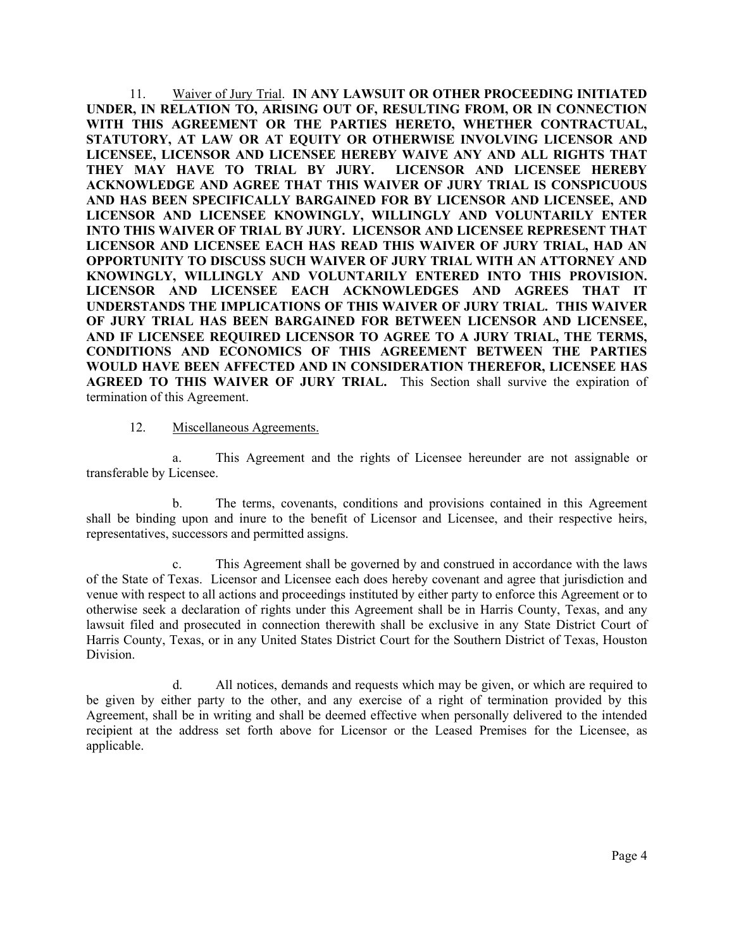11. Waiver of Jury Trial. **IN ANY LAWSUIT OR OTHER PROCEEDING INITIATED UNDER, IN RELATION TO, ARISING OUT OF, RESULTING FROM, OR IN CONNECTION WITH THIS AGREEMENT OR THE PARTIES HERETO, WHETHER CONTRACTUAL, STATUTORY, AT LAW OR AT EQUITY OR OTHERWISE INVOLVING LICENSOR AND LICENSEE, LICENSOR AND LICENSEE HEREBY WAIVE ANY AND ALL RIGHTS THAT THEY MAY HAVE TO TRIAL BY JURY. LICENSOR AND LICENSEE HEREBY ACKNOWLEDGE AND AGREE THAT THIS WAIVER OF JURY TRIAL IS CONSPICUOUS AND HAS BEEN SPECIFICALLY BARGAINED FOR BY LICENSOR AND LICENSEE, AND LICENSOR AND LICENSEE KNOWINGLY, WILLINGLY AND VOLUNTARILY ENTER INTO THIS WAIVER OF TRIAL BY JURY. LICENSOR AND LICENSEE REPRESENT THAT LICENSOR AND LICENSEE EACH HAS READ THIS WAIVER OF JURY TRIAL, HAD AN OPPORTUNITY TO DISCUSS SUCH WAIVER OF JURY TRIAL WITH AN ATTORNEY AND KNOWINGLY, WILLINGLY AND VOLUNTARILY ENTERED INTO THIS PROVISION. LICENSOR AND LICENSEE EACH ACKNOWLEDGES AND AGREES THAT IT UNDERSTANDS THE IMPLICATIONS OF THIS WAIVER OF JURY TRIAL. THIS WAIVER OF JURY TRIAL HAS BEEN BARGAINED FOR BETWEEN LICENSOR AND LICENSEE, AND IF LICENSEE REQUIRED LICENSOR TO AGREE TO A JURY TRIAL, THE TERMS, CONDITIONS AND ECONOMICS OF THIS AGREEMENT BETWEEN THE PARTIES WOULD HAVE BEEN AFFECTED AND IN CONSIDERATION THEREFOR, LICENSEE HAS AGREED TO THIS WAIVER OF JURY TRIAL.** This Section shall survive the expiration of termination of this Agreement.

## 12. Miscellaneous Agreements.

a. This Agreement and the rights of Licensee hereunder are not assignable or transferable by Licensee.

b. The terms, covenants, conditions and provisions contained in this Agreement shall be binding upon and inure to the benefit of Licensor and Licensee, and their respective heirs, representatives, successors and permitted assigns.

c. This Agreement shall be governed by and construed in accordance with the laws of the State of Texas. Licensor and Licensee each does hereby covenant and agree that jurisdiction and venue with respect to all actions and proceedings instituted by either party to enforce this Agreement or to otherwise seek a declaration of rights under this Agreement shall be in Harris County, Texas, and any lawsuit filed and prosecuted in connection therewith shall be exclusive in any State District Court of Harris County, Texas, or in any United States District Court for the Southern District of Texas, Houston Division.

d. All notices, demands and requests which may be given, or which are required to be given by either party to the other, and any exercise of a right of termination provided by this Agreement, shall be in writing and shall be deemed effective when personally delivered to the intended recipient at the address set forth above for Licensor or the Leased Premises for the Licensee, as applicable.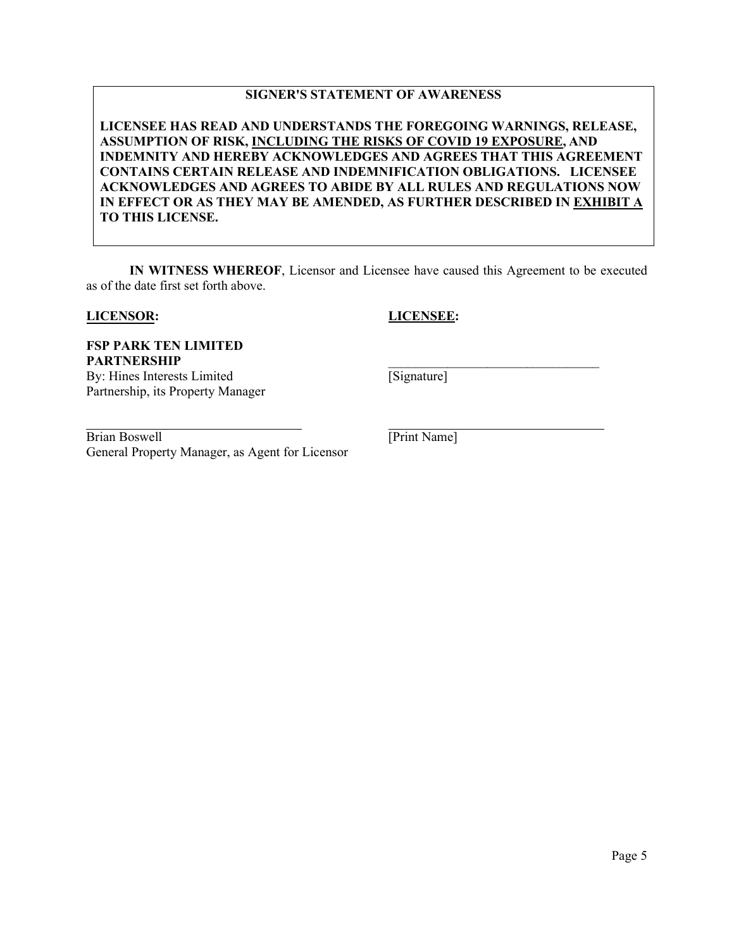## **SIGNER'S STATEMENT OF AWARENESS**

**LICENSEE HAS READ AND UNDERSTANDS THE FOREGOING WARNINGS, RELEASE, ASSUMPTION OF RISK, INCLUDING THE RISKS OF COVID 19 EXPOSURE, AND INDEMNITY AND HEREBY ACKNOWLEDGES AND AGREES THAT THIS AGREEMENT CONTAINS CERTAIN RELEASE AND INDEMNIFICATION OBLIGATIONS. LICENSEE ACKNOWLEDGES AND AGREES TO ABIDE BY ALL RULES AND REGULATIONS NOW IN EFFECT OR AS THEY MAY BE AMENDED, AS FURTHER DESCRIBED IN EXHIBIT A TO THIS LICENSE.**

**IN WITNESS WHEREOF**, Licensor and Licensee have caused this Agreement to be executed as of the date first set forth above.

### **LICENSOR:**

**LICENSEE:**

\_\_\_\_\_\_\_\_\_\_\_\_\_\_\_\_\_\_\_\_\_\_\_\_\_\_\_\_\_\_\_\_

**FSP PARK TEN LIMITED PARTNERSHIP** By: Hines Interests Limited

Partnership, its Property Manager

Brian Boswell **[Print Name]** General Property Manager, as Agent for Licensor

[Signature]